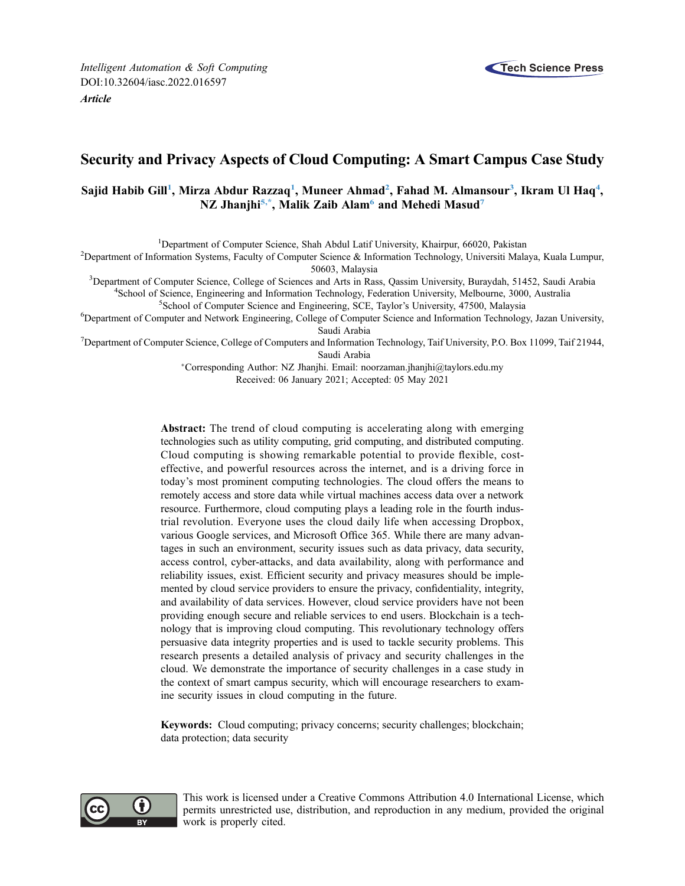

# Security and Privacy Aspects of Cloud Computing: A Smart Campus Case Study

# Sajid Habib Gill<sup>[1](#page-0-0)</sup>, Mirza Abdur Razzaq<sup>1</sup>, Muneer Ahmad<sup>2</sup>, Fahad M. Almansour<sup>[3](#page-0-2)</sup>, Ikram Ul Haq<sup>[4](#page-0-3)</sup>, NZ Jhanjhi<sup>[5](#page-0-4)[,\\*](#page-0-5)</sup>, Malik Zaib Alam<sup>[6](#page-0-6)</sup> and Mehedi Masud<sup>7</sup>

<span id="page-0-0"></span><sup>1</sup> Department of Computer Science, Shah Abdul Latif University, Khairpur, 66020, Pakistan <sup>2</sup> Department of Information Systems, Eqsuity of Computer Science & Information Technology, University Male

<span id="page-0-1"></span><sup>2</sup>Department of Information Systems, Faculty of Computer Science & Information Technology, Universiti Malaya, Kuala Lumpur,

<span id="page-0-3"></span><span id="page-0-2"></span>50603, Malaysia<br><sup>3</sup>Department of Computer Science, College of Sciences and Arts in Pas Department of Computer Science, College of Sciences and Arts in Rass, Qassim University, Buraydah, 51452, Saudi Arabia 48 (about a 48 about a 48 about a 48 about a 48 about a 48 about a 48 about a 48 about a 48 about a 48 <sup>4</sup>School of Science, Engineering and Information Technology, Federation University, Melbourne, 3000, Australia

<sup>5</sup>School of Computer Science and Engineering, SCE, Taylor's University, 47500, Malaysia

<span id="page-0-6"></span><span id="page-0-4"></span><sup>6</sup>Department of Computer and Network Engineering, College of Computer Science and Information Technology, Jazan University,

<span id="page-0-7"></span><span id="page-0-5"></span>Saudi Arabia<br><sup>7</sup>Department of Computer Science, College of Computers and Information Technology, Taif University, P.O. Box 11099, Taif 21944, Saudi Arabia

> Corresponding Author: NZ Jhanjhi. Email: [noorzaman.jhanjhi@taylors.edu.my](mailto:noorzaman.jhanjhi@taylors.edu.my) Received: 06 January 2021; Accepted: 05 May 2021

Abstract: The trend of cloud computing is accelerating along with emerging technologies such as utility computing, grid computing, and distributed computing. Cloud computing is showing remarkable potential to provide flexible, costeffective, and powerful resources across the internet, and is a driving force in today's most prominent computing technologies. The cloud offers the means to remotely access and store data while virtual machines access data over a network resource. Furthermore, cloud computing plays a leading role in the fourth industrial revolution. Everyone uses the cloud daily life when accessing Dropbox, various Google services, and Microsoft Office 365. While there are many advantages in such an environment, security issues such as data privacy, data security, access control, cyber-attacks, and data availability, along with performance and reliability issues, exist. Efficient security and privacy measures should be implemented by cloud service providers to ensure the privacy, confidentiality, integrity, and availability of data services. However, cloud service providers have not been providing enough secure and reliable services to end users. Blockchain is a technology that is improving cloud computing. This revolutionary technology offers persuasive data integrity properties and is used to tackle security problems. This research presents a detailed analysis of privacy and security challenges in the cloud. We demonstrate the importance of security challenges in a case study in the context of smart campus security, which will encourage researchers to examine security issues in cloud computing in the future.

Keywords: Cloud computing; privacy concerns; security challenges; blockchain; data protection; data security



This work is licensed under a Creative Commons Attribution 4.0 International License, which permits unrestricted use, distribution, and reproduction in any medium, provided the original work is properly cited.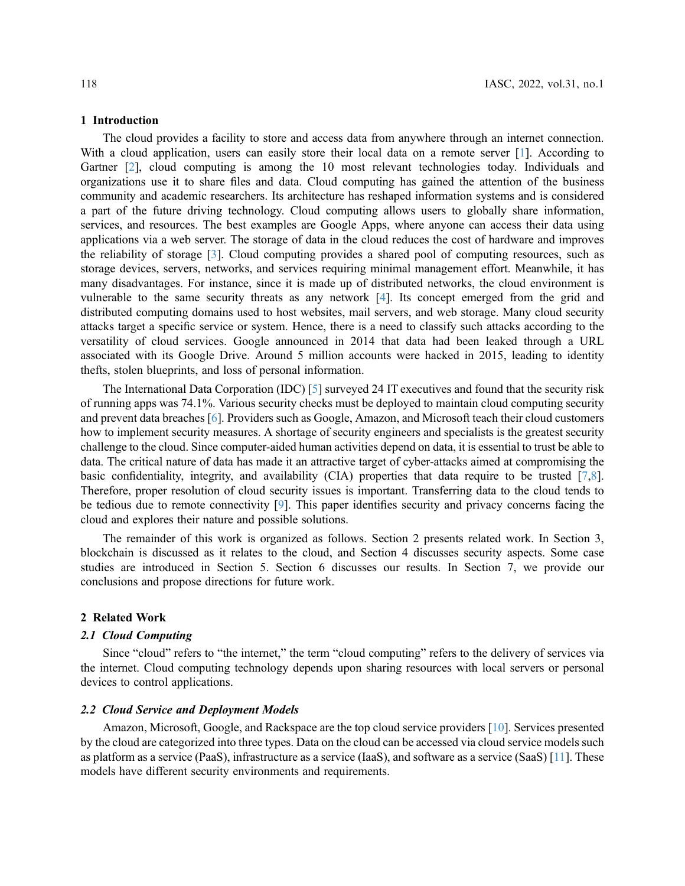#### 1 Introduction

The cloud provides a facility to store and access data from anywhere through an internet connection. With a cloud application, users can easily store their local data on a remote server [\[1\]](#page-9-0). According to Gartner [\[2\]](#page-9-1), cloud computing is among the 10 most relevant technologies today. Individuals and organizations use it to share files and data. Cloud computing has gained the attention of the business community and academic researchers. Its architecture has reshaped information systems and is considered a part of the future driving technology. Cloud computing allows users to globally share information, services, and resources. The best examples are Google Apps, where anyone can access their data using applications via a web server. The storage of data in the cloud reduces the cost of hardware and improves the reliability of storage [[3](#page-9-2)]. Cloud computing provides a shared pool of computing resources, such as storage devices, servers, networks, and services requiring minimal management effort. Meanwhile, it has many disadvantages. For instance, since it is made up of distributed networks, the cloud environment is vulnerable to the same security threats as any network [[4](#page-9-3)]. Its concept emerged from the grid and distributed computing domains used to host websites, mail servers, and web storage. Many cloud security attacks target a specific service or system. Hence, there is a need to classify such attacks according to the versatility of cloud services. Google announced in 2014 that data had been leaked through a URL associated with its Google Drive. Around 5 million accounts were hacked in 2015, leading to identity thefts, stolen blueprints, and loss of personal information.

The International Data Corporation (IDC) [[5](#page-9-4)] surveyed 24 IT executives and found that the security risk of running apps was 74.1%. Various security checks must be deployed to maintain cloud computing security and prevent data breaches [[6](#page-9-5)]. Providers such as Google, Amazon, and Microsoft teach their cloud customers how to implement security measures. A shortage of security engineers and specialists is the greatest security challenge to the cloud. Since computer-aided human activities depend on data, it is essential to trust be able to data. The critical nature of data has made it an attractive target of cyber-attacks aimed at compromising the basic confidentiality, integrity, and availability (CIA) properties that data require to be trusted [\[7](#page-9-6)[,8\]](#page-9-7). Therefore, proper resolution of cloud security issues is important. Transferring data to the cloud tends to be tedious due to remote connectivity [[9](#page-9-8)]. This paper identifies security and privacy concerns facing the cloud and explores their nature and possible solutions.

The remainder of this work is organized as follows. Section 2 presents related work. In Section 3, blockchain is discussed as it relates to the cloud, and Section 4 discusses security aspects. Some case studies are introduced in Section 5. Section 6 discusses our results. In Section 7, we provide our conclusions and propose directions for future work.

### 2 Related Work

#### 2.1 Cloud Computing

Since "cloud" refers to "the internet," the term "cloud computing" refers to the delivery of services via the internet. Cloud computing technology depends upon sharing resources with local servers or personal devices to control applications.

### 2.2 Cloud Service and Deployment Models

Amazon, Microsoft, Google, and Rackspace are the top cloud service providers [[10\]](#page-9-9). Services presented by the cloud are categorized into three types. Data on the cloud can be accessed via cloud service models such as platform as a service (PaaS), infrastructure as a service (IaaS), and software as a service (SaaS) [[11\]](#page-10-0). These models have different security environments and requirements.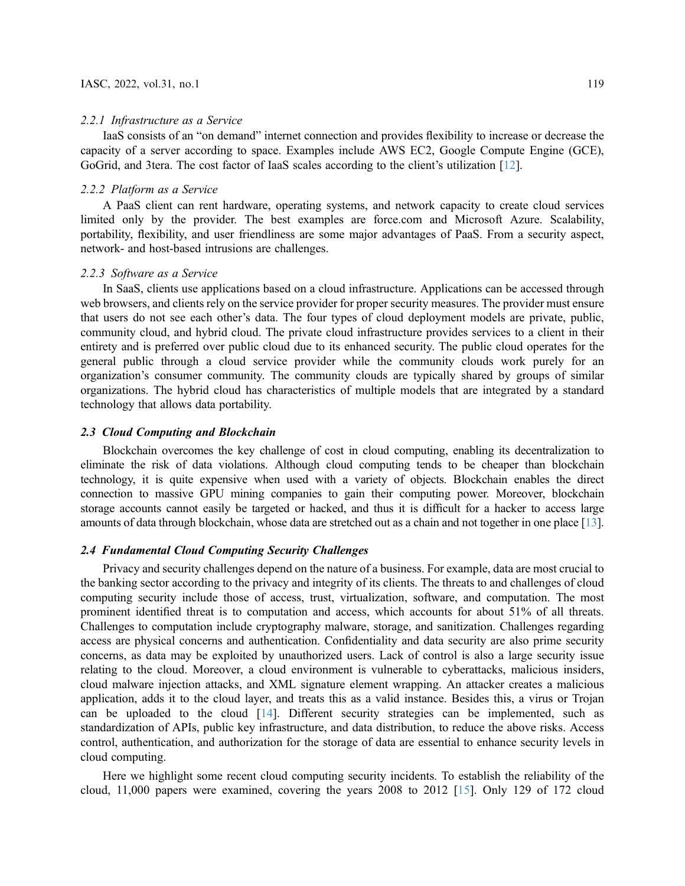#### 2.2.1 Infrastructure as a Service

IaaS consists of an "on demand" internet connection and provides flexibility to increase or decrease the capacity of a server according to space. Examples include AWS EC2, Google Compute Engine (GCE), GoGrid, and 3tera. The cost factor of IaaS scales according to the client's utilization [\[12](#page-10-1)].

### 2.2.2 Platform as a Service

A PaaS client can rent hardware, operating systems, and network capacity to create cloud services limited only by the provider. The best examples are force.com and Microsoft Azure. Scalability, portability, flexibility, and user friendliness are some major advantages of PaaS. From a security aspect, network- and host-based intrusions are challenges.

### 2.2.3 Software as a Service

In SaaS, clients use applications based on a cloud infrastructure. Applications can be accessed through web browsers, and clients rely on the service provider for proper security measures. The provider must ensure that users do not see each other's data. The four types of cloud deployment models are private, public, community cloud, and hybrid cloud. The private cloud infrastructure provides services to a client in their entirety and is preferred over public cloud due to its enhanced security. The public cloud operates for the general public through a cloud service provider while the community clouds work purely for an organization's consumer community. The community clouds are typically shared by groups of similar organizations. The hybrid cloud has characteristics of multiple models that are integrated by a standard technology that allows data portability.

### 2.3 Cloud Computing and Blockchain

Blockchain overcomes the key challenge of cost in cloud computing, enabling its decentralization to eliminate the risk of data violations. Although cloud computing tends to be cheaper than blockchain technology, it is quite expensive when used with a variety of objects. Blockchain enables the direct connection to massive GPU mining companies to gain their computing power. Moreover, blockchain storage accounts cannot easily be targeted or hacked, and thus it is difficult for a hacker to access large amounts of data through blockchain, whose data are stretched out as a chain and not together in one place [\[13\]](#page-10-2).

## 2.4 Fundamental Cloud Computing Security Challenges

Privacy and security challenges depend on the nature of a business. For example, data are most crucial to the banking sector according to the privacy and integrity of its clients. The threats to and challenges of cloud computing security include those of access, trust, virtualization, software, and computation. The most prominent identified threat is to computation and access, which accounts for about 51% of all threats. Challenges to computation include cryptography malware, storage, and sanitization. Challenges regarding access are physical concerns and authentication. Confidentiality and data security are also prime security concerns, as data may be exploited by unauthorized users. Lack of control is also a large security issue relating to the cloud. Moreover, a cloud environment is vulnerable to cyberattacks, malicious insiders, cloud malware injection attacks, and XML signature element wrapping. An attacker creates a malicious application, adds it to the cloud layer, and treats this as a valid instance. Besides this, a virus or Trojan can be uploaded to the cloud [\[14](#page-10-3)]. Different security strategies can be implemented, such as standardization of APIs, public key infrastructure, and data distribution, to reduce the above risks. Access control, authentication, and authorization for the storage of data are essential to enhance security levels in cloud computing.

Here we highlight some recent cloud computing security incidents. To establish the reliability of the cloud, 11,000 papers were examined, covering the years 2008 to 2012 [\[15](#page-10-4)]. Only 129 of 172 cloud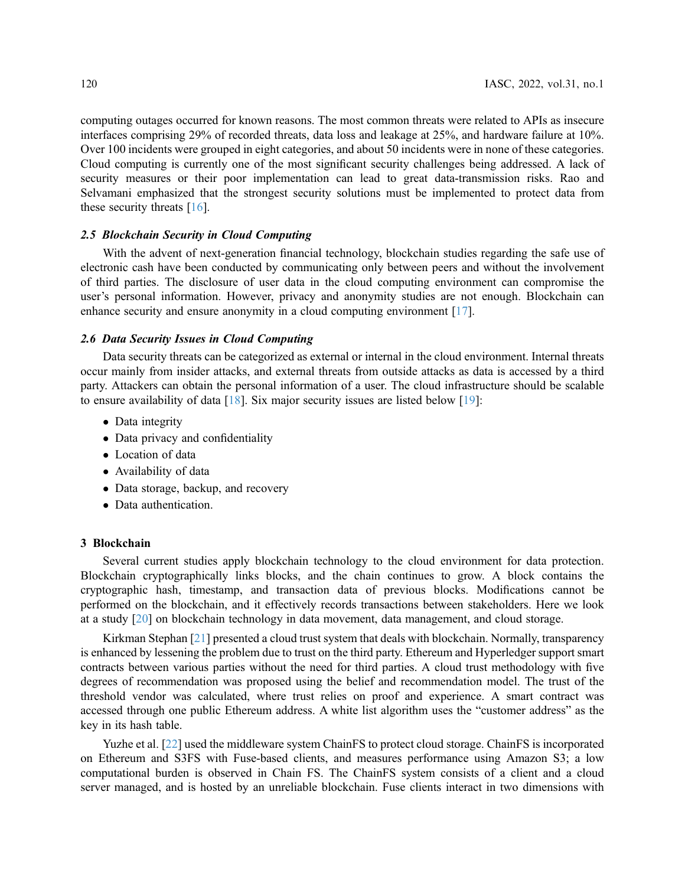computing outages occurred for known reasons. The most common threats were related to APIs as insecure interfaces comprising 29% of recorded threats, data loss and leakage at 25%, and hardware failure at 10%. Over 100 incidents were grouped in eight categories, and about 50 incidents were in none of these categories. Cloud computing is currently one of the most significant security challenges being addressed. A lack of security measures or their poor implementation can lead to great data-transmission risks. Rao and Selvamani emphasized that the strongest security solutions must be implemented to protect data from these security threats  $[16]$  $[16]$ .

### 2.5 Blockchain Security in Cloud Computing

With the advent of next-generation financial technology, blockchain studies regarding the safe use of electronic cash have been conducted by communicating only between peers and without the involvement of third parties. The disclosure of user data in the cloud computing environment can compromise the user's personal information. However, privacy and anonymity studies are not enough. Blockchain can enhance security and ensure anonymity in a cloud computing environment [\[17](#page-10-6)].

### 2.6 Data Security Issues in Cloud Computing

Data security threats can be categorized as external or internal in the cloud environment. Internal threats occur mainly from insider attacks, and external threats from outside attacks as data is accessed by a third party. Attackers can obtain the personal information of a user. The cloud infrastructure should be scalable to ensure availability of data [\[18](#page-10-7)]. Six major security issues are listed below [\[19](#page-10-8)]:

- Data integrity
- Data privacy and confidentiality
- Location of data
- Availability of data
- Data storage, backup, and recovery
- Data authentication.

### 3 Blockchain

Several current studies apply blockchain technology to the cloud environment for data protection. Blockchain cryptographically links blocks, and the chain continues to grow. A block contains the cryptographic hash, timestamp, and transaction data of previous blocks. Modifications cannot be performed on the blockchain, and it effectively records transactions between stakeholders. Here we look at a study [[20](#page-10-9)] on blockchain technology in data movement, data management, and cloud storage.

Kirkman Stephan [[21\]](#page-10-10) presented a cloud trust system that deals with blockchain. Normally, transparency is enhanced by lessening the problem due to trust on the third party. Ethereum and Hyperledger support smart contracts between various parties without the need for third parties. A cloud trust methodology with five degrees of recommendation was proposed using the belief and recommendation model. The trust of the threshold vendor was calculated, where trust relies on proof and experience. A smart contract was accessed through one public Ethereum address. A white list algorithm uses the "customer address" as the key in its hash table.

Yuzhe et al. [\[22](#page-10-11)] used the middleware system ChainFS to protect cloud storage. ChainFS is incorporated on Ethereum and S3FS with Fuse-based clients, and measures performance using Amazon S3; a low computational burden is observed in Chain FS. The ChainFS system consists of a client and a cloud server managed, and is hosted by an unreliable blockchain. Fuse clients interact in two dimensions with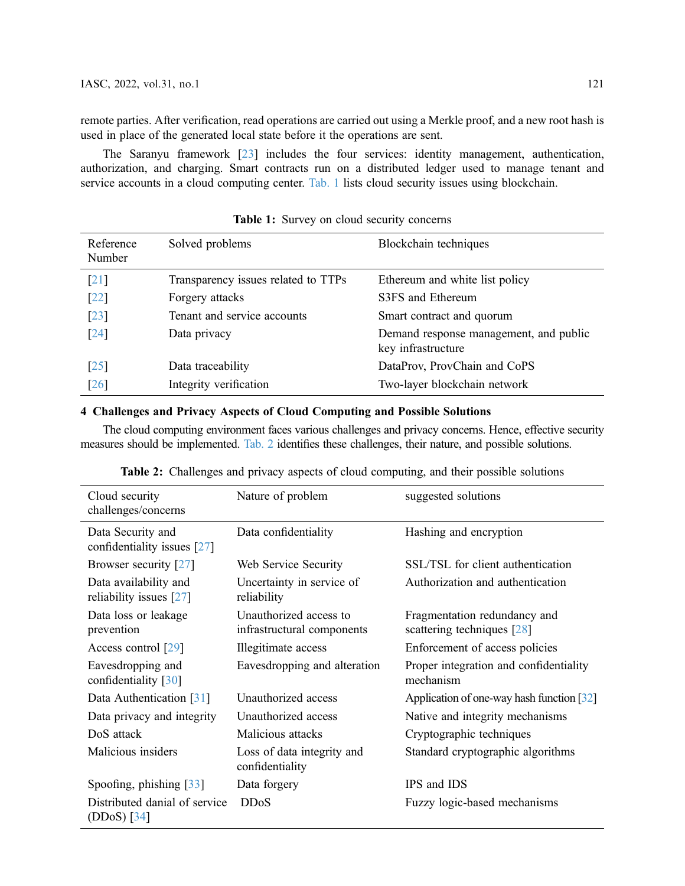remote parties. After verification, read operations are carried out using a Merkle proof, and a new root hash is used in place of the generated local state before it the operations are sent.

The Saranyu framework [\[23](#page-10-12)] includes the four services: identity management, authentication, authorization, and charging. Smart contracts run on a distributed ledger used to manage tenant and service accounts in a cloud computing center. [Tab. 1](#page-4-0) lists cloud security issues using blockchain.

<span id="page-4-0"></span>

| Reference<br>Number | Solved problems                     | Blockchain techniques                                        |
|---------------------|-------------------------------------|--------------------------------------------------------------|
| $\lceil 21 \rceil$  | Transparency issues related to TTPs | Ethereum and white list policy                               |
| $[22]$              | Forgery attacks                     | S3FS and Ethereum                                            |
| $[23]$              | Tenant and service accounts         | Smart contract and quorum                                    |
| $\lceil 24 \rceil$  | Data privacy                        | Demand response management, and public<br>key infrastructure |
| $\lceil 25 \rceil$  | Data traceability                   | DataProv, ProvChain and CoPS                                 |
| $[26]$              | Integrity verification              | Two-layer blockchain network                                 |

Table 1: Survey on cloud security concerns

# 4 Challenges and Privacy Aspects of Cloud Computing and Possible Solutions

The cloud computing environment faces various challenges and privacy concerns. Hence, effective security measures should be implemented. [Tab. 2](#page-4-1) identifies these challenges, their nature, and possible solutions.

<span id="page-4-1"></span>

| Cloud security<br>challenges/concerns              | Nature of problem                                    | suggested solutions                                        |
|----------------------------------------------------|------------------------------------------------------|------------------------------------------------------------|
| Data Security and<br>confidentiality issues [27]   | Data confidentiality                                 | Hashing and encryption                                     |
| Browser security [27]                              | Web Service Security                                 | SSL/TSL for client authentication                          |
| Data availability and<br>reliability issues $[27]$ | Uncertainty in service of<br>reliability             | Authorization and authentication                           |
| Data loss or leakage<br>prevention                 | Unauthorized access to<br>infrastructural components | Fragmentation redundancy and<br>scattering techniques [28] |
| Access control [29]                                | Illegitimate access                                  | Enforcement of access policies                             |
| Eavesdropping and<br>confidentiality [30]          | Eavesdropping and alteration                         | Proper integration and confidentiality<br>mechanism        |
| Data Authentication [31]                           | Unauthorized access                                  | Application of one-way hash function [32]                  |
| Data privacy and integrity                         | Unauthorized access                                  | Native and integrity mechanisms                            |
| DoS attack                                         | Malicious attacks                                    | Cryptographic techniques                                   |
| Malicious insiders                                 | Loss of data integrity and<br>confidentiality        | Standard cryptographic algorithms                          |
| Spoofing, phishing $[33]$                          | Data forgery                                         | IPS and IDS                                                |
| Distributed danial of service<br>$(DDoS)$ [34]     | <b>DDoS</b>                                          | Fuzzy logic-based mechanisms                               |

Table 2: Challenges and privacy aspects of cloud computing, and their possible solutions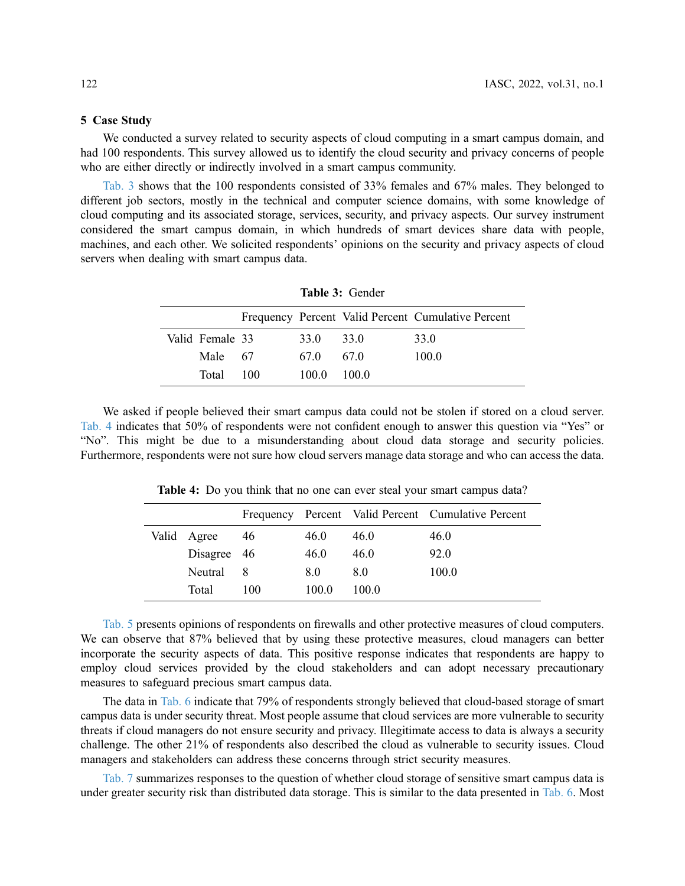#### 5 Case Study

We conducted a survey related to security aspects of cloud computing in a smart campus domain, and had 100 respondents. This survey allowed us to identify the cloud security and privacy concerns of people who are either directly or indirectly involved in a smart campus community.

[Tab. 3](#page-5-0) shows that the 100 respondents consisted of 33% females and 67% males. They belonged to different job sectors, mostly in the technical and computer science domains, with some knowledge of cloud computing and its associated storage, services, security, and privacy aspects. Our survey instrument considered the smart campus domain, in which hundreds of smart devices share data with people, machines, and each other. We solicited respondents' opinions on the security and privacy aspects of cloud servers when dealing with smart campus data.

<span id="page-5-0"></span>

| <b>Table 3: Gender</b>                             |                 |             |       |       |      |  |
|----------------------------------------------------|-----------------|-------------|-------|-------|------|--|
| Frequency Percent Valid Percent Cumulative Percent |                 |             |       |       |      |  |
|                                                    | Valid Female 33 |             | 33.0  | 33.0  | 33.0 |  |
|                                                    | Male 67         | 67.0<br>670 | 100.0 |       |      |  |
|                                                    | Total           | 100         | 100.0 | 100.0 |      |  |

We asked if people believed their smart campus data could not be stolen if stored on a cloud server. [Tab. 4](#page-5-1) indicates that 50% of respondents were not confident enough to answer this question via "Yes" or "No". This might be due to a misunderstanding about cloud data storage and security policies. Furthermore, respondents were not sure how cloud servers manage data storage and who can access the data.

|             |     |       |       | Frequency Percent Valid Percent Cumulative Percent |
|-------------|-----|-------|-------|----------------------------------------------------|
| Valid Agree | 46  | 46.0  | 46.0  | 46.0                                               |
| Disagree 46 |     | 46.0  | 46.0  | 92.0                                               |
| Neutral     | -8  | 8.0   | 8.0   | 100.0                                              |
| Total       | 100 | 100.0 | 100.0 |                                                    |

<span id="page-5-1"></span>Table 4: Do you think that no one can ever steal your smart campus data?

[Tab. 5](#page-6-0) presents opinions of respondents on firewalls and other protective measures of cloud computers. We can observe that 87% believed that by using these protective measures, cloud managers can better incorporate the security aspects of data. This positive response indicates that respondents are happy to employ cloud services provided by the cloud stakeholders and can adopt necessary precautionary measures to safeguard precious smart campus data.

The data in [Tab. 6](#page-6-1) indicate that 79% of respondents strongly believed that cloud-based storage of smart campus data is under security threat. Most people assume that cloud services are more vulnerable to security threats if cloud managers do not ensure security and privacy. Illegitimate access to data is always a security challenge. The other 21% of respondents also described the cloud as vulnerable to security issues. Cloud managers and stakeholders can address these concerns through strict security measures.

[Tab. 7](#page-6-2) summarizes responses to the question of whether cloud storage of sensitive smart campus data is under greater security risk than distributed data storage. This is similar to the data presented in [Tab. 6](#page-6-1). Most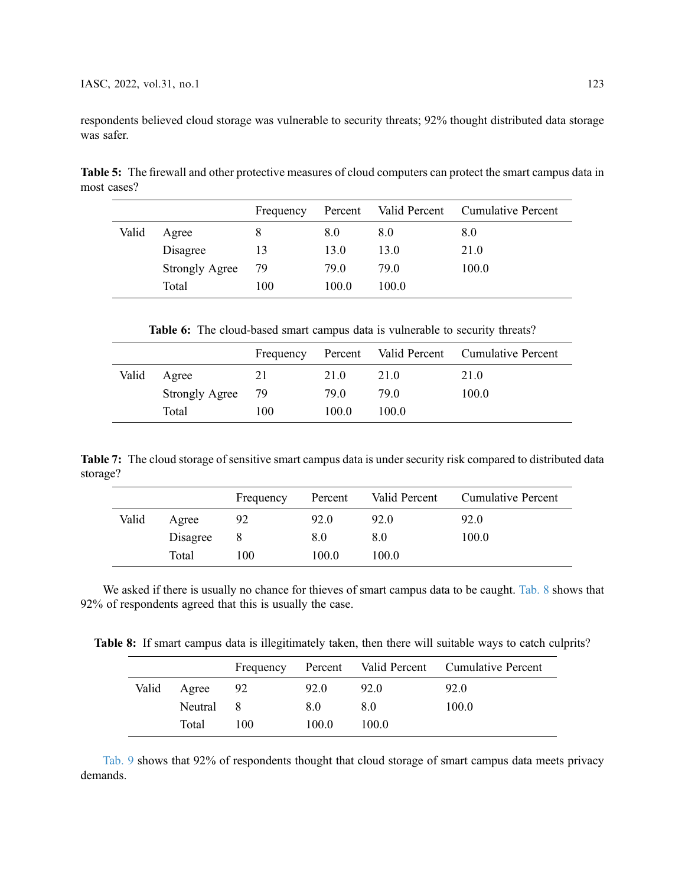respondents believed cloud storage was vulnerable to security threats; 92% thought distributed data storage was safer.

<span id="page-6-0"></span>Table 5: The firewall and other protective measures of cloud computers can protect the smart campus data in most cases?

|       |                       | Frequency | Percent | Valid Percent | <b>Cumulative Percent</b> |
|-------|-----------------------|-----------|---------|---------------|---------------------------|
| Valid | Agree                 | 8         | 8.0     | 8.0           | 8.0                       |
|       | Disagree              | 13        | 13.0    | 13.0          | 21.0                      |
|       | <b>Strongly Agree</b> | 79        | 79.0    | 79.0          | 100.0                     |
|       | Total                 | 100       | 100.0   | 100.0         |                           |

Table 6: The cloud-based smart campus data is vulnerable to security threats?

<span id="page-6-1"></span>

|       |                       | Frequency | Percent |       | Valid Percent Cumulative Percent |
|-------|-----------------------|-----------|---------|-------|----------------------------------|
| Valid | Agree                 | 21        | 21.0    | 21.0  | 21.0                             |
|       | <b>Strongly Agree</b> | - 79      | 79.0    | 79.0  | 100.0                            |
|       | Total                 | 100       | 100.0   | 100.0 |                                  |

<span id="page-6-2"></span>Table 7: The cloud storage of sensitive smart campus data is under security risk compared to distributed data storage?

|       |          | Frequency | Percent | Valid Percent | <b>Cumulative Percent</b> |
|-------|----------|-----------|---------|---------------|---------------------------|
| Valid | Agree    | 92        | 92.0    | 92.0          | 92.0                      |
|       | Disagree |           | 8.0     | 8.0           | 100.0                     |
|       | Total    | 100       | 100.0   | 100.0         |                           |

We asked if there is usually no chance for thieves of smart campus data to be caught. [Tab. 8](#page-6-3) shows that 92% of respondents agreed that this is usually the case.

<span id="page-6-3"></span>Table 8: If smart campus data is illegitimately taken, then there will suitable ways to catch culprits?

|       |           |     |       |       | Frequency Percent Valid Percent Cumulative Percent |
|-------|-----------|-----|-------|-------|----------------------------------------------------|
| Valid | Agree     | 92  | 92.0  | 92.0  | 92.0                                               |
|       | Neutral 8 |     | 8.0   | 8.0   | 100.0                                              |
|       | Total     | 100 | 100.0 | 100.0 |                                                    |

[Tab. 9](#page-7-0) shows that 92% of respondents thought that cloud storage of smart campus data meets privacy demands.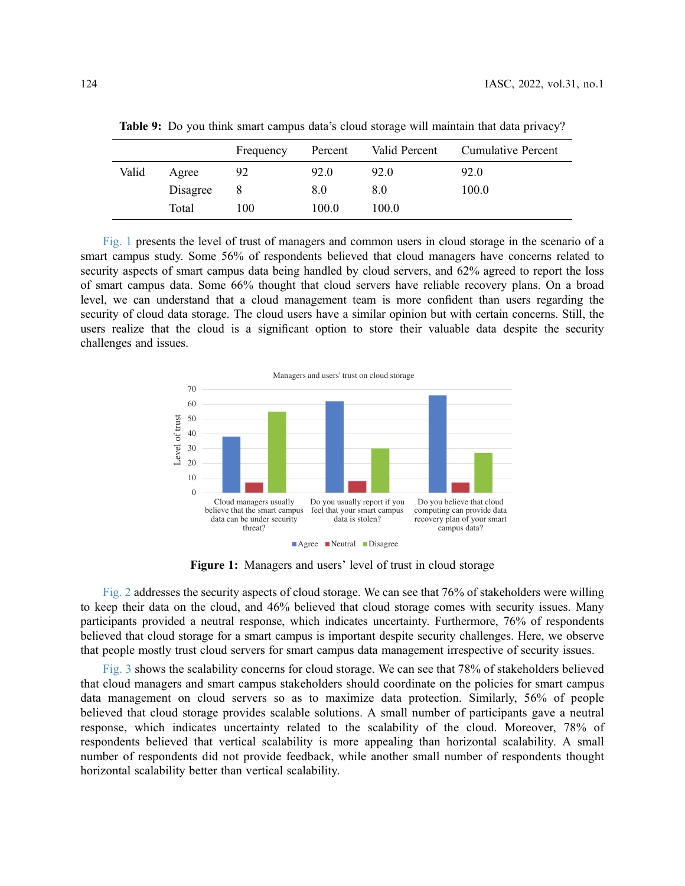|       |          | Frequency | Percent | Valid Percent | <b>Cumulative Percent</b> |
|-------|----------|-----------|---------|---------------|---------------------------|
| Valid | Agree    | 92        | 92.0    | 92.0          | 92.0                      |
|       | Disagree |           | 8.0     | 8.0           | 100.0                     |
|       | Total    | 100       | 100.0   | 100.0         |                           |

<span id="page-7-0"></span>Table 9: Do you think smart campus data's cloud storage will maintain that data privacy?

[Fig. 1](#page-7-1) presents the level of trust of managers and common users in cloud storage in the scenario of a smart campus study. Some 56% of respondents believed that cloud managers have concerns related to security aspects of smart campus data being handled by cloud servers, and 62% agreed to report the loss of smart campus data. Some 66% thought that cloud servers have reliable recovery plans. On a broad level, we can understand that a cloud management team is more confident than users regarding the security of cloud data storage. The cloud users have a similar opinion but with certain concerns. Still, the users realize that the cloud is a significant option to store their valuable data despite the security challenges and issues.

<span id="page-7-1"></span>

Figure 1: Managers and users' level of trust in cloud storage

[Fig. 2](#page-8-0) addresses the security aspects of cloud storage. We can see that 76% of stakeholders were willing to keep their data on the cloud, and 46% believed that cloud storage comes with security issues. Many participants provided a neutral response, which indicates uncertainty. Furthermore, 76% of respondents believed that cloud storage for a smart campus is important despite security challenges. Here, we observe that people mostly trust cloud servers for smart campus data management irrespective of security issues.

[Fig. 3](#page-8-1) shows the scalability concerns for cloud storage. We can see that 78% of stakeholders believed that cloud managers and smart campus stakeholders should coordinate on the policies for smart campus data management on cloud servers so as to maximize data protection. Similarly, 56% of people believed that cloud storage provides scalable solutions. A small number of participants gave a neutral response, which indicates uncertainty related to the scalability of the cloud. Moreover, 78% of respondents believed that vertical scalability is more appealing than horizontal scalability. A small number of respondents did not provide feedback, while another small number of respondents thought horizontal scalability better than vertical scalability.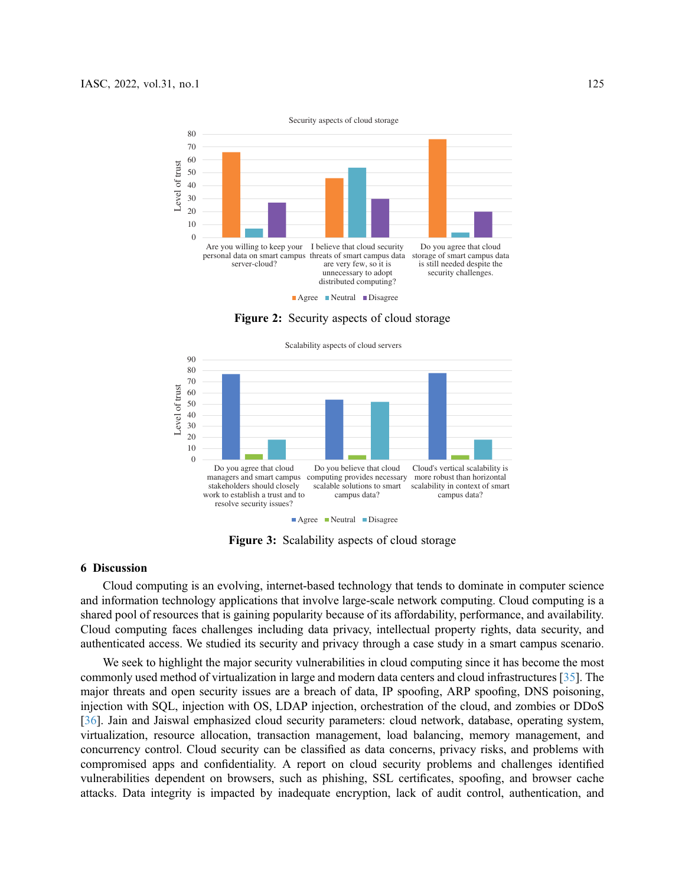<span id="page-8-0"></span>

Figure 2: Security aspects of cloud storage

<span id="page-8-1"></span>

Figure 3: Scalability aspects of cloud storage

### 6 Discussion

Cloud computing is an evolving, internet-based technology that tends to dominate in computer science and information technology applications that involve large-scale network computing. Cloud computing is a shared pool of resources that is gaining popularity because of its affordability, performance, and availability. Cloud computing faces challenges including data privacy, intellectual property rights, data security, and authenticated access. We studied its security and privacy through a case study in a smart campus scenario.

We seek to highlight the major security vulnerabilities in cloud computing since it has become the most commonly used method of virtualization in large and modern data centers and cloud infrastructures [[35\]](#page-11-2). The major threats and open security issues are a breach of data, IP spoofing, ARP spoofing, DNS poisoning, injection with SQL, injection with OS, LDAP injection, orchestration of the cloud, and zombies or DDoS [[36](#page-11-3)]. Jain and Jaiswal emphasized cloud security parameters: cloud network, database, operating system, virtualization, resource allocation, transaction management, load balancing, memory management, and concurrency control. Cloud security can be classified as data concerns, privacy risks, and problems with compromised apps and confidentiality. A report on cloud security problems and challenges identified vulnerabilities dependent on browsers, such as phishing, SSL certificates, spoofing, and browser cache attacks. Data integrity is impacted by inadequate encryption, lack of audit control, authentication, and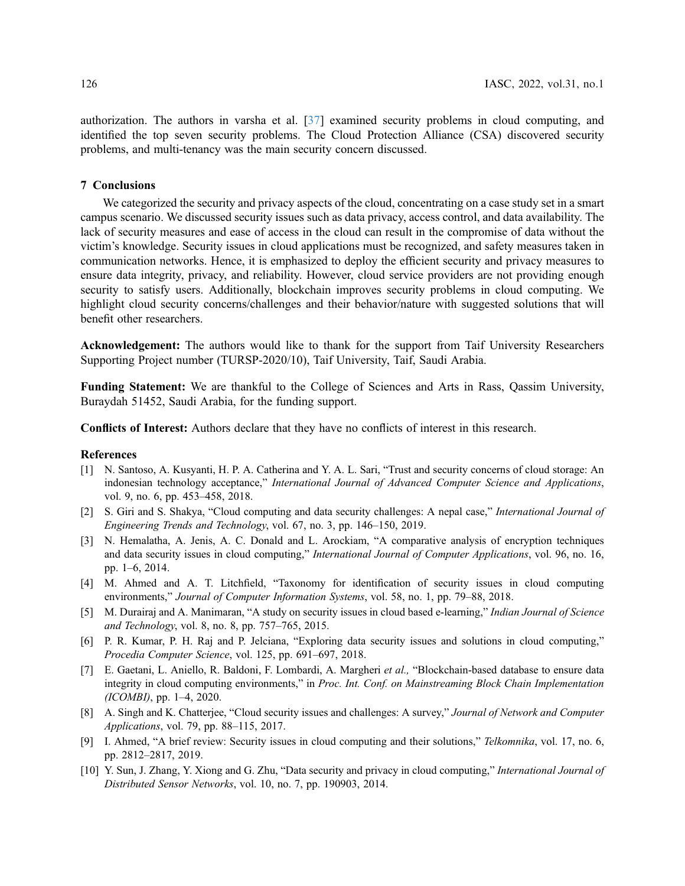authorization. The authors in varsha et al. [\[37](#page-11-4)] examined security problems in cloud computing, and identified the top seven security problems. The Cloud Protection Alliance (CSA) discovered security problems, and multi-tenancy was the main security concern discussed.

# 7 Conclusions

We categorized the security and privacy aspects of the cloud, concentrating on a case study set in a smart campus scenario. We discussed security issues such as data privacy, access control, and data availability. The lack of security measures and ease of access in the cloud can result in the compromise of data without the victim's knowledge. Security issues in cloud applications must be recognized, and safety measures taken in communication networks. Hence, it is emphasized to deploy the efficient security and privacy measures to ensure data integrity, privacy, and reliability. However, cloud service providers are not providing enough security to satisfy users. Additionally, blockchain improves security problems in cloud computing. We highlight cloud security concerns/challenges and their behavior/nature with suggested solutions that will benefit other researchers.

Acknowledgement: The authors would like to thank for the support from Taif University Researchers Supporting Project number (TURSP-2020/10), Taif University, Taif, Saudi Arabia.

Funding Statement: We are thankful to the College of Sciences and Arts in Rass, Qassim University, Buraydah 51452, Saudi Arabia, for the funding support.

Conflicts of Interest: Authors declare that they have no conflicts of interest in this research.

### References

- <span id="page-9-0"></span>[1] N. Santoso, A. Kusyanti, H. P. A. Catherina and Y. A. L. Sari, "Trust and security concerns of cloud storage: An indonesian technology acceptance," International Journal of Advanced Computer Science and Applications, vol. 9, no. 6, pp. 453–458, 2018.
- <span id="page-9-1"></span>[2] S. Giri and S. Shakya, "Cloud computing and data security challenges: A nepal case," International Journal of Engineering Trends and Technology, vol. 67, no. 3, pp. 146–150, 2019.
- <span id="page-9-2"></span>[3] N. Hemalatha, A. Jenis, A. C. Donald and L. Arockiam, "A comparative analysis of encryption techniques and data security issues in cloud computing," International Journal of Computer Applications, vol. 96, no. 16, pp. 1–6, 2014.
- <span id="page-9-3"></span>[4] M. Ahmed and A. T. Litchfield, "Taxonomy for identification of security issues in cloud computing environments," Journal of Computer Information Systems, vol. 58, no. 1, pp. 79–88, 2018.
- <span id="page-9-4"></span>[5] M. Durairaj and A. Manimaran, "A study on security issues in cloud based e-learning," Indian Journal of Science and Technology, vol. 8, no. 8, pp. 757–765, 2015.
- <span id="page-9-5"></span>[6] P. R. Kumar, P. H. Raj and P. Jelciana, "Exploring data security issues and solutions in cloud computing," Procedia Computer Science, vol. 125, pp. 691–697, 2018.
- <span id="page-9-6"></span>[7] E. Gaetani, L. Aniello, R. Baldoni, F. Lombardi, A. Margheri et al., "Blockchain-based database to ensure data integrity in cloud computing environments," in Proc. Int. Conf. on Mainstreaming Block Chain Implementation (ICOMBI), pp. 1–4, 2020.
- <span id="page-9-7"></span>[8] A. Singh and K. Chatterjee, "Cloud security issues and challenges: A survey," Journal of Network and Computer Applications, vol. 79, pp. 88–115, 2017.
- <span id="page-9-8"></span>[9] I. Ahmed, "A brief review: Security issues in cloud computing and their solutions," Telkomnika, vol. 17, no. 6, pp. 2812–2817, 2019.
- <span id="page-9-9"></span>[10] Y. Sun, J. Zhang, Y. Xiong and G. Zhu, "Data security and privacy in cloud computing," International Journal of Distributed Sensor Networks, vol. 10, no. 7, pp. 190903, 2014.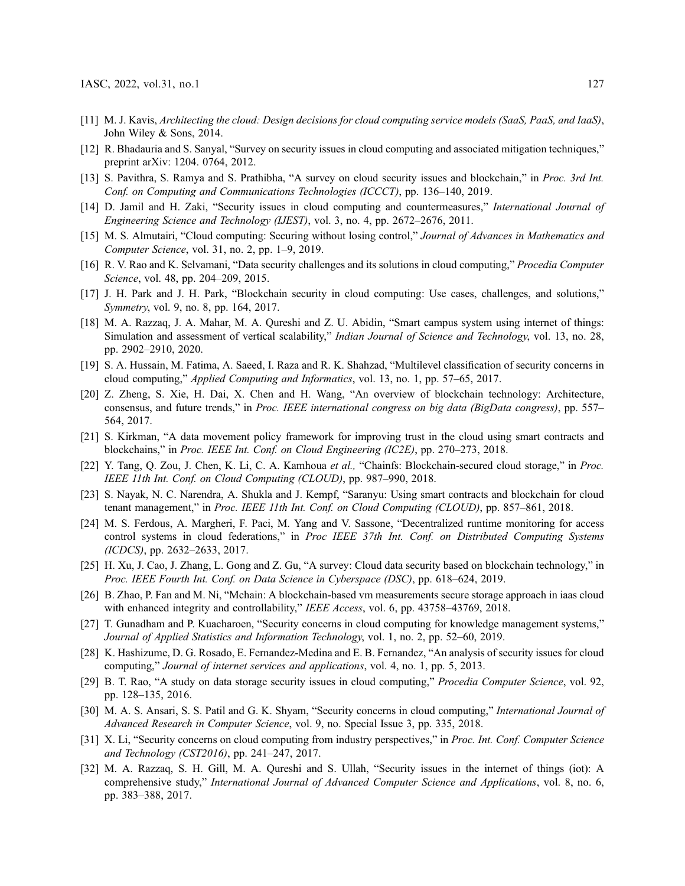- <span id="page-10-0"></span>[11] M. J. Kavis, Architecting the cloud: Design decisions for cloud computing service models (SaaS, PaaS, and IaaS), John Wiley & Sons, 2014.
- <span id="page-10-1"></span>[12] R. Bhadauria and S. Sanyal, "Survey on security issues in cloud computing and associated mitigation techniques," preprint arXiv: 1204. 0764, 2012.
- <span id="page-10-2"></span>[13] S. Pavithra, S. Ramya and S. Prathibha, "A survey on cloud security issues and blockchain," in Proc. 3rd Int. Conf. on Computing and Communications Technologies (ICCCT), pp. 136–140, 2019.
- <span id="page-10-3"></span>[14] D. Jamil and H. Zaki, "Security issues in cloud computing and countermeasures," International Journal of Engineering Science and Technology (IJEST), vol. 3, no. 4, pp. 2672–2676, 2011.
- <span id="page-10-4"></span>[15] M. S. Almutairi, "Cloud computing: Securing without losing control," Journal of Advances in Mathematics and Computer Science, vol. 31, no. 2, pp. 1–9, 2019.
- <span id="page-10-5"></span>[16] R. V. Rao and K. Selvamani, "Data security challenges and its solutions in cloud computing," Procedia Computer Science, vol. 48, pp. 204-209, 2015.
- <span id="page-10-6"></span>[17] J. H. Park and J. H. Park, "Blockchain security in cloud computing: Use cases, challenges, and solutions," Symmetry, vol. 9, no. 8, pp. 164, 2017.
- <span id="page-10-7"></span>[18] M. A. Razzaq, J. A. Mahar, M. A. Qureshi and Z. U. Abidin, "Smart campus system using internet of things: Simulation and assessment of vertical scalability," Indian Journal of Science and Technology, vol. 13, no. 28, pp. 2902–2910, 2020.
- <span id="page-10-8"></span>[19] S. A. Hussain, M. Fatima, A. Saeed, I. Raza and R. K. Shahzad, "Multilevel classification of security concerns in cloud computing," Applied Computing and Informatics, vol. 13, no. 1, pp. 57–65, 2017.
- <span id="page-10-9"></span>[20] Z. Zheng, S. Xie, H. Dai, X. Chen and H. Wang, "An overview of blockchain technology: Architecture, consensus, and future trends," in Proc. IEEE international congress on big data (BigData congress), pp. 557-564, 2017.
- <span id="page-10-10"></span>[21] S. Kirkman, "A data movement policy framework for improving trust in the cloud using smart contracts and blockchains," in Proc. IEEE Int. Conf. on Cloud Engineering (IC2E), pp. 270–273, 2018.
- <span id="page-10-11"></span>[22] Y. Tang, Q. Zou, J. Chen, K. Li, C. A. Kamhoua et al., "Chainfs: Blockchain-secured cloud storage," in Proc. IEEE 11th Int. Conf. on Cloud Computing (CLOUD), pp. 987–990, 2018.
- <span id="page-10-12"></span>[23] S. Nayak, N. C. Narendra, A. Shukla and J. Kempf, "Saranyu: Using smart contracts and blockchain for cloud tenant management," in Proc. IEEE 11th Int. Conf. on Cloud Computing (CLOUD), pp. 857–861, 2018.
- <span id="page-10-13"></span>[24] M. S. Ferdous, A. Margheri, F. Paci, M. Yang and V. Sassone, "Decentralized runtime monitoring for access control systems in cloud federations," in Proc IEEE 37th Int. Conf. on Distributed Computing Systems (ICDCS), pp. 2632–2633, 2017.
- <span id="page-10-14"></span>[25] H. Xu, J. Cao, J. Zhang, L. Gong and Z. Gu, "A survey: Cloud data security based on blockchain technology," in Proc. IEEE Fourth Int. Conf. on Data Science in Cyberspace (DSC), pp. 618–624, 2019.
- <span id="page-10-15"></span>[26] B. Zhao, P. Fan and M. Ni, "Mchain: A blockchain-based vm measurements secure storage approach in iaas cloud with enhanced integrity and controllability," IEEE Access, vol. 6, pp. 43758-43769, 2018.
- <span id="page-10-16"></span>[27] T. Gunadham and P. Kuacharoen, "Security concerns in cloud computing for knowledge management systems," Journal of Applied Statistics and Information Technology, vol. 1, no. 2, pp. 52–60, 2019.
- <span id="page-10-17"></span>[28] K. Hashizume, D. G. Rosado, E. Fernandez-Medina and E. B. Fernandez, "An analysis of security issues for cloud computing," Journal of internet services and applications, vol. 4, no. 1, pp. 5, 2013.
- <span id="page-10-18"></span>[29] B. T. Rao, "A study on data storage security issues in cloud computing," *Procedia Computer Science*, vol. 92, pp. 128–135, 2016.
- <span id="page-10-19"></span>[30] M. A. S. Ansari, S. S. Patil and G. K. Shyam, "Security concerns in cloud computing," *International Journal of* Advanced Research in Computer Science, vol. 9, no. Special Issue 3, pp. 335, 2018.
- <span id="page-10-20"></span>[31] X. Li, "Security concerns on cloud computing from industry perspectives," in Proc. Int. Conf. Computer Science and Technology (CST2016), pp. 241–247, 2017.
- <span id="page-10-21"></span>[32] M. A. Razzaq, S. H. Gill, M. A. Qureshi and S. Ullah, "Security issues in the internet of things (iot): A comprehensive study," International Journal of Advanced Computer Science and Applications, vol. 8, no. 6, pp. 383–388, 2017.